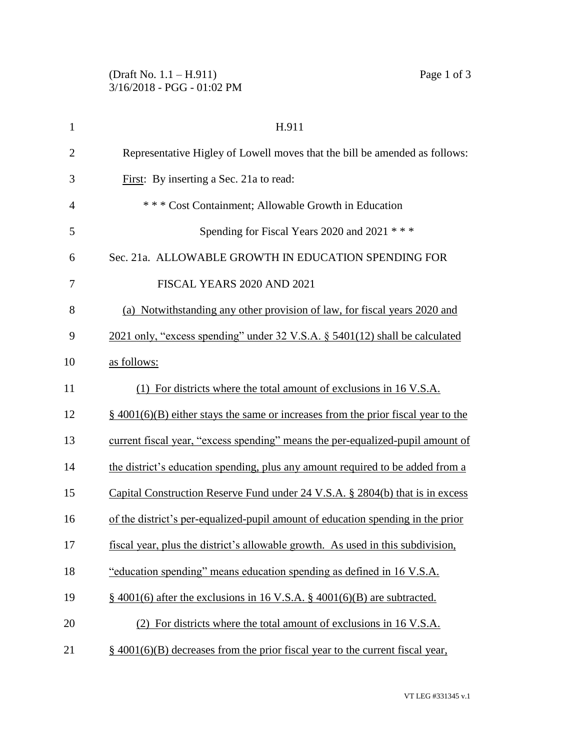| $\mathbf{1}$   | H.911                                                                                         |
|----------------|-----------------------------------------------------------------------------------------------|
| $\overline{2}$ | Representative Higley of Lowell moves that the bill be amended as follows:                    |
| 3              | First: By inserting a Sec. 21a to read:                                                       |
| $\overline{4}$ | *** Cost Containment; Allowable Growth in Education                                           |
| 5              | Spending for Fiscal Years 2020 and 2021 ***                                                   |
| 6              | Sec. 21a. ALLOWABLE GROWTH IN EDUCATION SPENDING FOR                                          |
| 7              | FISCAL YEARS 2020 AND 2021                                                                    |
| 8              | (a) Notwithstanding any other provision of law, for fiscal years 2020 and                     |
| 9              | 2021 only, "excess spending" under 32 V.S.A. § 5401(12) shall be calculated                   |
| 10             | as follows:                                                                                   |
| 11             | (1) For districts where the total amount of exclusions in 16 V.S.A.                           |
| 12             | $\frac{8}{9}$ 4001(6)(B) either stays the same or increases from the prior fiscal year to the |
| 13             | current fiscal year, "excess spending" means the per-equalized-pupil amount of                |
| 14             | the district's education spending, plus any amount required to be added from a                |
| 15             | Capital Construction Reserve Fund under 24 V.S.A. § 2804(b) that is in excess                 |
| 16             | of the district's per-equalized-pupil amount of education spending in the prior               |
| 17             | fiscal year, plus the district's allowable growth. As used in this subdivision,               |
| 18             | "education spending" means education spending as defined in 16 V.S.A.                         |
| 19             | $\S$ 4001(6) after the exclusions in 16 V.S.A. $\S$ 4001(6)(B) are subtracted.                |
| 20             | (2) For districts where the total amount of exclusions in 16 V.S.A.                           |
| 21             | $\frac{1}{2}$ 4001(6)(B) decreases from the prior fiscal year to the current fiscal year,     |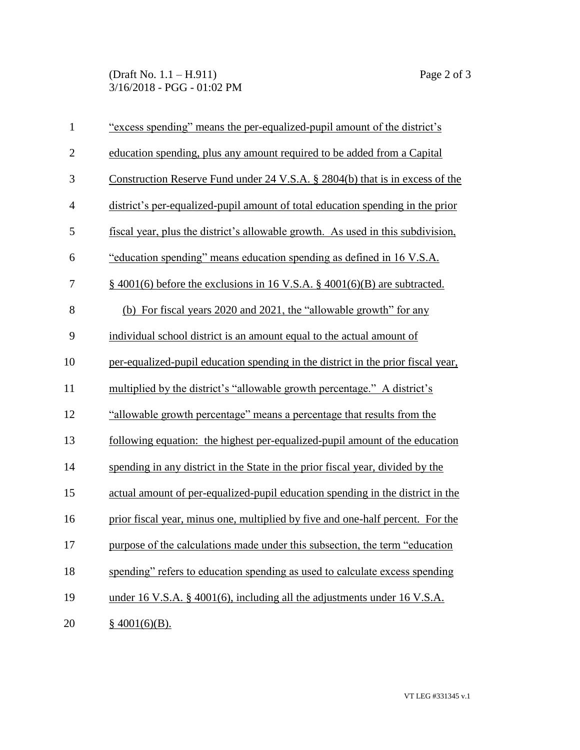(Draft No. 1.1 – H.911) Page 2 of 3 3/16/2018 - PGG - 01:02 PM

| $\mathbf{1}$   | "excess spending" means the per-equalized-pupil amount of the district's         |
|----------------|----------------------------------------------------------------------------------|
| $\overline{2}$ | education spending, plus any amount required to be added from a Capital          |
| 3              | Construction Reserve Fund under 24 V.S.A. § 2804(b) that is in excess of the     |
| $\overline{4}$ | district's per-equalized-pupil amount of total education spending in the prior   |
| 5              | fiscal year, plus the district's allowable growth. As used in this subdivision,  |
| 6              | "education spending" means education spending as defined in 16 V.S.A.            |
| $\tau$         | $\S$ 4001(6) before the exclusions in 16 V.S.A. $\S$ 4001(6)(B) are subtracted.  |
| 8              | (b) For fiscal years 2020 and 2021, the "allowable growth" for any               |
| 9              | individual school district is an amount equal to the actual amount of            |
| 10             | per-equalized-pupil education spending in the district in the prior fiscal year, |
| 11             | multiplied by the district's "allowable growth percentage." A district's         |
| 12             | "allowable growth percentage" means a percentage that results from the           |
| 13             | following equation: the highest per-equalized-pupil amount of the education      |
| 14             | spending in any district in the State in the prior fiscal year, divided by the   |
| 15             | actual amount of per-equalized-pupil education spending in the district in the   |
| 16             | prior fiscal year, minus one, multiplied by five and one-half percent. For the   |
| 17             | purpose of the calculations made under this subsection, the term "education"     |
| 18             | spending" refers to education spending as used to calculate excess spending      |
| 19             | under 16 V.S.A. § 4001(6), including all the adjustments under 16 V.S.A.         |
| 20             | \$4001(6)(B).                                                                    |